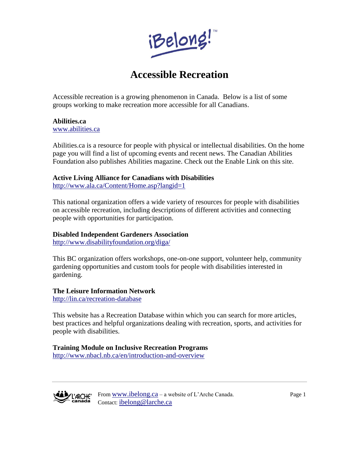

# **Accessible Recreation**

Accessible recreation is a growing phenomenon in Canada. Below is a list of some groups working to make recreation more accessible for all Canadians.

### **Abilities.ca**

[www.abilities.ca](http://www.abilities.ca/)

Abilities.ca is a resource for people with physical or intellectual disabilities. On the home page you will find a list of upcoming events and recent news. The Canadian Abilities Foundation also publishes Abilities magazine. Check out the Enable Link on this site.

#### **Active Living Alliance for Canadians with Disabilities**

<http://www.ala.ca/Content/Home.asp?langid=1>

This national organization offers a wide variety of resources for people with disabilities on accessible recreation, including descriptions of different activities and connecting people with opportunities for participation.

#### **Disabled Independent Gardeners Association**

<http://www.disabilityfoundation.org/diga/>

This BC organization offers workshops, one-on-one support, volunteer help, community gardening opportunities and custom tools for people with disabilities interested in gardening.

#### **The Leisure Information Network**

<http://lin.ca/recreation-database>

This website has a Recreation Database within which you can search for more articles, best practices and helpful organizations dealing with recreation, sports, and activities for people with disabilities.

## **Training Module on Inclusive Recreation Programs**

<http://www.nbacl.nb.ca/en/introduction-and-overview>